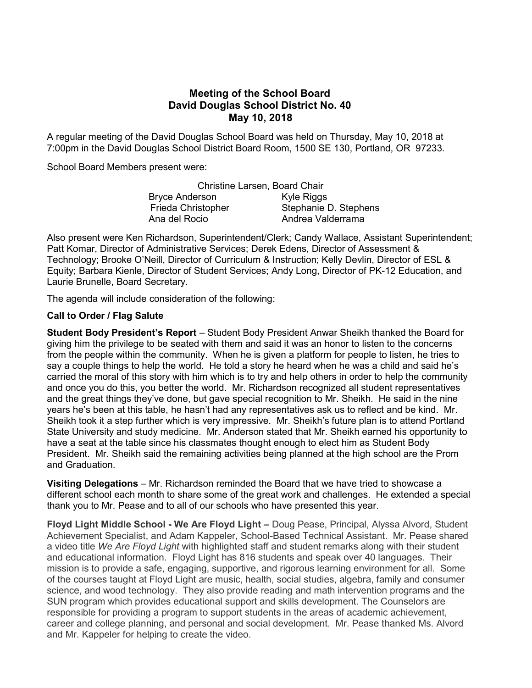# Meeting of the School Board David Douglas School District No. 40 May 10, 2018

A regular meeting of the David Douglas School Board was held on Thursday, May 10, 2018 at 7:00pm in the David Douglas School District Board Room, 1500 SE 130, Portland, OR 97233.

School Board Members present were:

|                       | Christine Larsen, Board Chair |
|-----------------------|-------------------------------|
| <b>Bryce Anderson</b> | Kyle Riggs                    |
| Frieda Christopher    | Stephanie D. Stephens         |
| Ana del Rocio         | Andrea Valderrama             |

Also present were Ken Richardson, Superintendent/Clerk; Candy Wallace, Assistant Superintendent; Patt Komar, Director of Administrative Services; Derek Edens, Director of Assessment & Technology; Brooke O'Neill, Director of Curriculum & Instruction; Kelly Devlin, Director of ESL & Equity; Barbara Kienle, Director of Student Services; Andy Long, Director of PK-12 Education, and Laurie Brunelle, Board Secretary.

The agenda will include consideration of the following:

### Call to Order / Flag Salute

**Student Body President's Report** – Student Body President Anwar Sheikh thanked the Board for giving him the privilege to be seated with them and said it was an honor to listen to the concerns from the people within the community. When he is given a platform for people to listen, he tries to say a couple things to help the world. He told a story he heard when he was a child and said he's carried the moral of this story with him which is to try and help others in order to help the community and once you do this, you better the world. Mr. Richardson recognized all student representatives and the great things they've done, but gave special recognition to Mr. Sheikh. He said in the nine years he's been at this table, he hasn't had any representatives ask us to reflect and be kind. Mr. Sheikh took it a step further which is very impressive. Mr. Sheikh's future plan is to attend Portland State University and study medicine. Mr. Anderson stated that Mr. Sheikh earned his opportunity to have a seat at the table since his classmates thought enough to elect him as Student Body President. Mr. Sheikh said the remaining activities being planned at the high school are the Prom and Graduation.

Visiting Delegations – Mr. Richardson reminded the Board that we have tried to showcase a different school each month to share some of the great work and challenges. He extended a special thank you to Mr. Pease and to all of our schools who have presented this year.

Floyd Light Middle School - We Are Floyd Light – Doug Pease, Principal, Alyssa Alvord, Student Achievement Specialist, and Adam Kappeler, School-Based Technical Assistant. Mr. Pease shared a video title We Are Floyd Light with highlighted staff and student remarks along with their student and educational information. Floyd Light has 816 students and speak over 40 languages. Their mission is to provide a safe, engaging, supportive, and rigorous learning environment for all. Some of the courses taught at Floyd Light are music, health, social studies, algebra, family and consumer science, and wood technology. They also provide reading and math intervention programs and the SUN program which provides educational support and skills development. The Counselors are responsible for providing a program to support students in the areas of academic achievement, career and college planning, and personal and social development. Mr. Pease thanked Ms. Alvord and Mr. Kappeler for helping to create the video.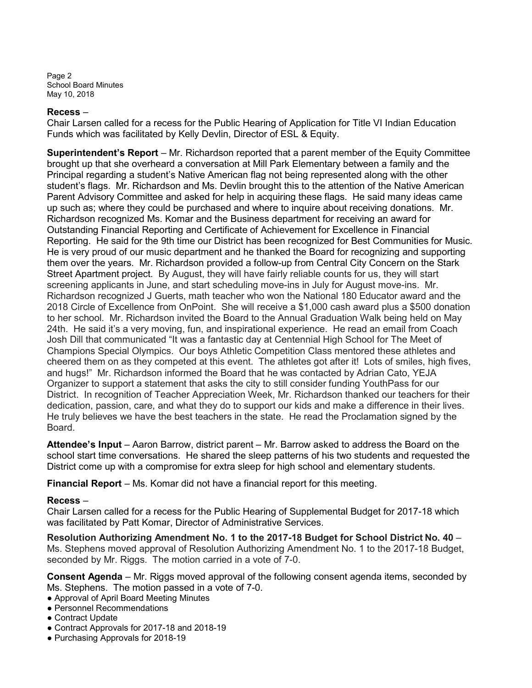Page 2 School Board Minutes May 10, 2018

#### Recess –

Chair Larsen called for a recess for the Public Hearing of Application for Title VI Indian Education Funds which was facilitated by Kelly Devlin, Director of ESL & Equity.

Superintendent's Report – Mr. Richardson reported that a parent member of the Equity Committee brought up that she overheard a conversation at Mill Park Elementary between a family and the Principal regarding a student's Native American flag not being represented along with the other student's flags. Mr. Richardson and Ms. Devlin brought this to the attention of the Native American Parent Advisory Committee and asked for help in acquiring these flags. He said many ideas came up such as; where they could be purchased and where to inquire about receiving donations. Mr. Richardson recognized Ms. Komar and the Business department for receiving an award for Outstanding Financial Reporting and Certificate of Achievement for Excellence in Financial Reporting. He said for the 9th time our District has been recognized for Best Communities for Music. He is very proud of our music department and he thanked the Board for recognizing and supporting them over the years. Mr. Richardson provided a follow-up from Central City Concern on the Stark Street Apartment project. By August, they will have fairly reliable counts for us, they will start screening applicants in June, and start scheduling move-ins in July for August move-ins. Mr. Richardson recognized J Guerts, math teacher who won the National 180 Educator award and the 2018 Circle of Excellence from OnPoint. She will receive a \$1,000 cash award plus a \$500 donation to her school. Mr. Richardson invited the Board to the Annual Graduation Walk being held on May 24th. He said it's a very moving, fun, and inspirational experience. He read an email from Coach Josh Dill that communicated "It was a fantastic day at Centennial High School for The Meet of Champions Special Olympics. Our boys Athletic Competition Class mentored these athletes and cheered them on as they competed at this event. The athletes got after it! Lots of smiles, high fives, and hugs!" Mr. Richardson informed the Board that he was contacted by Adrian Cato, YEJA Organizer to support a statement that asks the city to still consider funding YouthPass for our District. In recognition of Teacher Appreciation Week, Mr. Richardson thanked our teachers for their dedication, passion, care, and what they do to support our kids and make a difference in their lives. He truly believes we have the best teachers in the state. He read the Proclamation signed by the Board.

Attendee's Input – Aaron Barrow, district parent – Mr. Barrow asked to address the Board on the school start time conversations. He shared the sleep patterns of his two students and requested the District come up with a compromise for extra sleep for high school and elementary students.

Financial Report – Ms. Komar did not have a financial report for this meeting.

### Recess –

Chair Larsen called for a recess for the Public Hearing of Supplemental Budget for 2017-18 which was facilitated by Patt Komar, Director of Administrative Services.

Resolution Authorizing Amendment No. 1 to the 2017-18 Budget for School District No. 40 – Ms. Stephens moved approval of Resolution Authorizing Amendment No. 1 to the 2017-18 Budget, seconded by Mr. Riggs. The motion carried in a vote of 7-0.

Consent Agenda – Mr. Riggs moved approval of the following consent agenda items, seconded by Ms. Stephens. The motion passed in a vote of 7-0.

- Approval of April Board Meeting Minutes
- Personnel Recommendations
- Contract Update
- Contract Approvals for 2017-18 and 2018-19
- Purchasing Approvals for 2018-19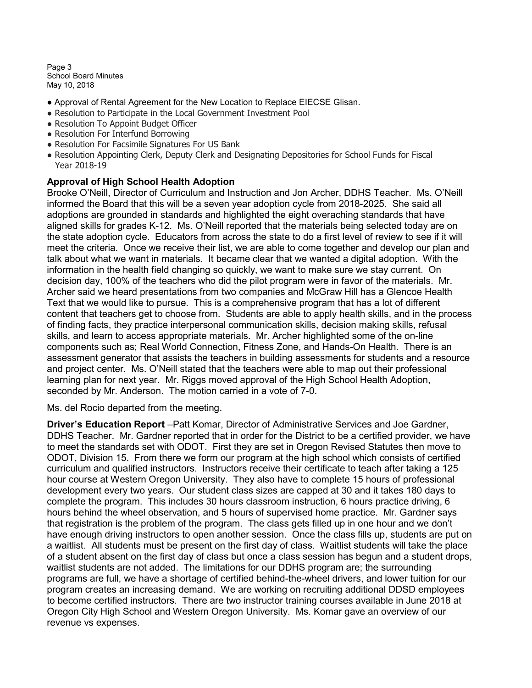Page 3 School Board Minutes May 10, 2018

- Approval of Rental Agreement for the New Location to Replace EIECSE Glisan.
- Resolution to Participate in the Local Government Investment Pool
- Resolution To Appoint Budget Officer
- Resolution For Interfund Borrowing
- Resolution For Facsimile Signatures For US Bank
- Resolution Appointing Clerk, Deputy Clerk and Designating Depositories for School Funds for Fiscal Year 2018-19

### Approval of High School Health Adoption

Brooke O'Neill, Director of Curriculum and Instruction and Jon Archer, DDHS Teacher. Ms. O'Neill informed the Board that this will be a seven year adoption cycle from 2018-2025. She said all adoptions are grounded in standards and highlighted the eight overaching standards that have aligned skills for grades K-12. Ms. O'Neill reported that the materials being selected today are on the state adoption cycle. Educators from across the state to do a first level of review to see if it will meet the criteria. Once we receive their list, we are able to come together and develop our plan and talk about what we want in materials. It became clear that we wanted a digital adoption. With the information in the health field changing so quickly, we want to make sure we stay current. On decision day, 100% of the teachers who did the pilot program were in favor of the materials. Mr. Archer said we heard presentations from two companies and McGraw Hill has a Glencoe Health Text that we would like to pursue. This is a comprehensive program that has a lot of different content that teachers get to choose from. Students are able to apply health skills, and in the process of finding facts, they practice interpersonal communication skills, decision making skills, refusal skills, and learn to access appropriate materials. Mr. Archer highlighted some of the on-line components such as; Real World Connection, Fitness Zone, and Hands-On Health. There is an assessment generator that assists the teachers in building assessments for students and a resource and project center. Ms. O'Neill stated that the teachers were able to map out their professional learning plan for next year. Mr. Riggs moved approval of the High School Health Adoption, seconded by Mr. Anderson. The motion carried in a vote of 7-0.

Ms. del Rocio departed from the meeting.

Driver's Education Report –Patt Komar, Director of Administrative Services and Joe Gardner, DDHS Teacher. Mr. Gardner reported that in order for the District to be a certified provider, we have to meet the standards set with ODOT. First they are set in Oregon Revised Statutes then move to ODOT, Division 15. From there we form our program at the high school which consists of certified curriculum and qualified instructors. Instructors receive their certificate to teach after taking a 125 hour course at Western Oregon University. They also have to complete 15 hours of professional development every two years. Our student class sizes are capped at 30 and it takes 180 days to complete the program. This includes 30 hours classroom instruction, 6 hours practice driving, 6 hours behind the wheel observation, and 5 hours of supervised home practice. Mr. Gardner says that registration is the problem of the program. The class gets filled up in one hour and we don't have enough driving instructors to open another session. Once the class fills up, students are put on a waitlist. All students must be present on the first day of class. Waitlist students will take the place of a student absent on the first day of class but once a class session has begun and a student drops, waitlist students are not added. The limitations for our DDHS program are; the surrounding programs are full, we have a shortage of certified behind-the-wheel drivers, and lower tuition for our program creates an increasing demand. We are working on recruiting additional DDSD employees to become certified instructors. There are two instructor training courses available in June 2018 at Oregon City High School and Western Oregon University. Ms. Komar gave an overview of our revenue vs expenses.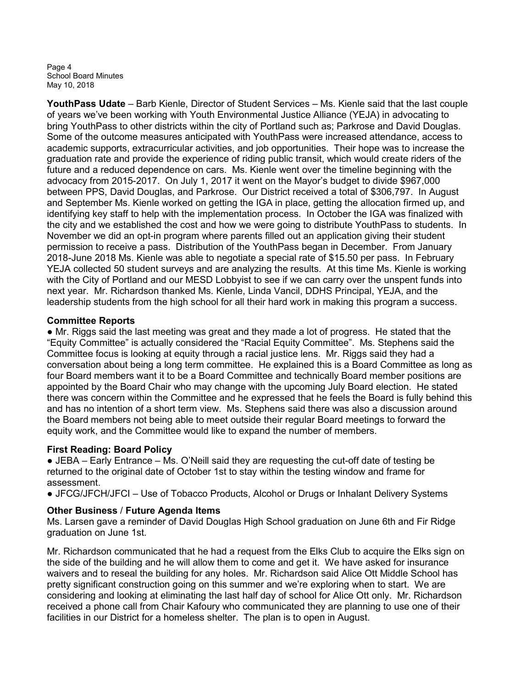Page 4 School Board Minutes May 10, 2018

YouthPass Udate – Barb Kienle, Director of Student Services – Ms. Kienle said that the last couple of years we've been working with Youth Environmental Justice Alliance (YEJA) in advocating to bring YouthPass to other districts within the city of Portland such as; Parkrose and David Douglas. Some of the outcome measures anticipated with YouthPass were increased attendance, access to academic supports, extracurricular activities, and job opportunities. Their hope was to increase the graduation rate and provide the experience of riding public transit, which would create riders of the future and a reduced dependence on cars. Ms. Kienle went over the timeline beginning with the advocacy from 2015-2017. On July 1, 2017 it went on the Mayor's budget to divide \$967,000 between PPS, David Douglas, and Parkrose. Our District received a total of \$306,797. In August and September Ms. Kienle worked on getting the IGA in place, getting the allocation firmed up, and identifying key staff to help with the implementation process. In October the IGA was finalized with the city and we established the cost and how we were going to distribute YouthPass to students. In November we did an opt-in program where parents filled out an application giving their student permission to receive a pass. Distribution of the YouthPass began in December. From January 2018-June 2018 Ms. Kienle was able to negotiate a special rate of \$15.50 per pass. In February YEJA collected 50 student surveys and are analyzing the results. At this time Ms. Kienle is working with the City of Portland and our MESD Lobbyist to see if we can carry over the unspent funds into next year. Mr. Richardson thanked Ms. Kienle, Linda Vancil, DDHS Principal, YEJA, and the leadership students from the high school for all their hard work in making this program a success.

### Committee Reports

• Mr. Riggs said the last meeting was great and they made a lot of progress. He stated that the "Equity Committee" is actually considered the "Racial Equity Committee". Ms. Stephens said the Committee focus is looking at equity through a racial justice lens. Mr. Riggs said they had a conversation about being a long term committee. He explained this is a Board Committee as long as four Board members want it to be a Board Committee and technically Board member positions are appointed by the Board Chair who may change with the upcoming July Board election. He stated there was concern within the Committee and he expressed that he feels the Board is fully behind this and has no intention of a short term view. Ms. Stephens said there was also a discussion around the Board members not being able to meet outside their regular Board meetings to forward the equity work, and the Committee would like to expand the number of members.

# First Reading: Board Policy

● JEBA – Early Entrance – Ms. O'Neill said they are requesting the cut-off date of testing be returned to the original date of October 1st to stay within the testing window and frame for assessment.

● JFCG/JFCH/JFCI – Use of Tobacco Products, Alcohol or Drugs or Inhalant Delivery Systems

# Other Business / Future Agenda Items

Ms. Larsen gave a reminder of David Douglas High School graduation on June 6th and Fir Ridge graduation on June 1st.

Mr. Richardson communicated that he had a request from the Elks Club to acquire the Elks sign on the side of the building and he will allow them to come and get it. We have asked for insurance waivers and to reseal the building for any holes. Mr. Richardson said Alice Ott Middle School has pretty significant construction going on this summer and we're exploring when to start. We are considering and looking at eliminating the last half day of school for Alice Ott only. Mr. Richardson received a phone call from Chair Kafoury who communicated they are planning to use one of their facilities in our District for a homeless shelter. The plan is to open in August.